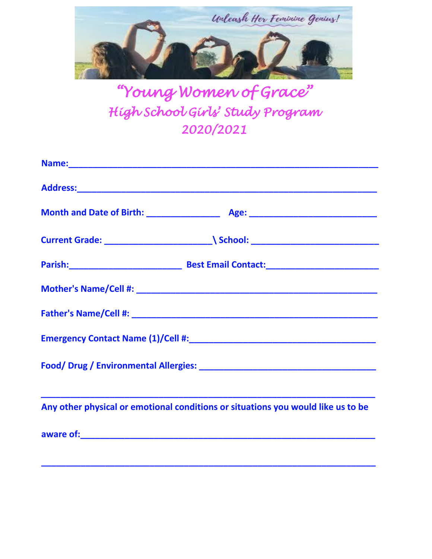

*"Young Women of Grace" High School Girls' Study Program 2020/2021* 

| Any other physical or emotional conditions or situations you would like us to be |  |
|----------------------------------------------------------------------------------|--|
|                                                                                  |  |

**\_\_\_\_\_\_\_\_\_\_\_\_\_\_\_\_\_\_\_\_\_\_\_\_\_\_\_\_\_\_\_\_\_\_\_\_\_\_\_\_\_\_\_\_\_\_\_\_\_\_\_\_\_\_\_\_\_\_\_\_\_\_\_\_\_\_\_\_**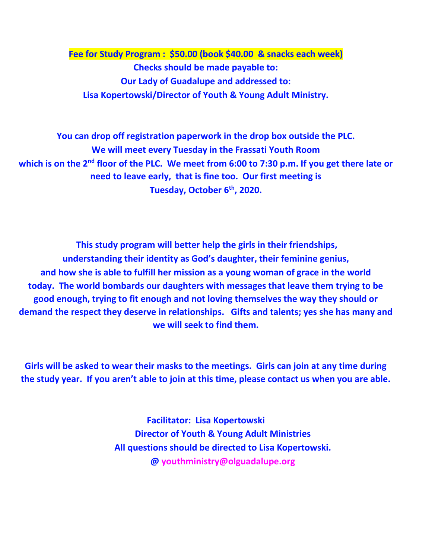**Fee for Study Program : \$50.00 (book \$40.00 & snacks each week) Checks should be made payable to: Our Lady of Guadalupe and addressed to: Lisa Kopertowski/Director of Youth & Young Adult Ministry.**

**You can drop off registration paperwork in the drop box outside the PLC. We will meet every Tuesday in the Frassati Youth Room which is on the 2nd floor of the PLC. We meet from 6:00 to 7:30 p.m. If you get there late or need to leave early, that is fine too. Our first meeting is Tuesday, October 6th, 2020.** 

**This study program will better help the girls in their friendships, understanding their identity as God's daughter, their feminine genius, and how she is able to fulfill her mission as a young woman of grace in the world today. The world bombards our daughters with messages that leave them trying to be good enough, trying to fit enough and not loving themselves the way they should or demand the respect they deserve in relationships. Gifts and talents; yes she has many and we will seek to find them.**

**Girls will be asked to wear their masks to the meetings. Girls can join at any time during the study year. If you aren't able to join at this time, please contact us when you are able.** 

> **Facilitator: Lisa Kopertowski Director of Youth & Young Adult Ministries All questions should be directed to Lisa Kopertowski. @ [youthministry@olguadalupe.org](mailto:youthministry@olguadalupe.org)**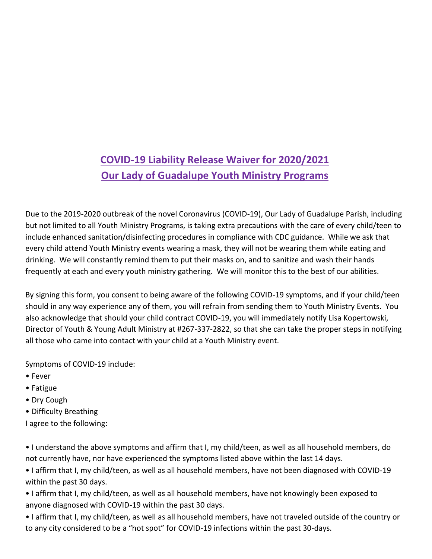## **COVID-19 Liability Release Waiver for 2020/2021 Our Lady of Guadalupe Youth Ministry Programs**

Due to the 2019-2020 outbreak of the novel Coronavirus (COVID-19), Our Lady of Guadalupe Parish, including but not limited to all Youth Ministry Programs, is taking extra precautions with the care of every child/teen to include enhanced sanitation/disinfecting procedures in compliance with CDC guidance. While we ask that every child attend Youth Ministry events wearing a mask, they will not be wearing them while eating and drinking. We will constantly remind them to put their masks on, and to sanitize and wash their hands frequently at each and every youth ministry gathering. We will monitor this to the best of our abilities.

By signing this form, you consent to being aware of the following COVID-19 symptoms, and if your child/teen should in any way experience any of them, you will refrain from sending them to Youth Ministry Events. You also acknowledge that should your child contract COVID-19, you will immediately notify Lisa Kopertowski, Director of Youth & Young Adult Ministry at #267-337-2822, so that she can take the proper steps in notifying all those who came into contact with your child at a Youth Ministry event.

Symptoms of COVID-19 include:

- Fever
- Fatigue
- Dry Cough
- Difficulty Breathing
- I agree to the following:

• I understand the above symptoms and affirm that I, my child/teen, as well as all household members, do not currently have, nor have experienced the symptoms listed above within the last 14 days.

• I affirm that I, my child/teen, as well as all household members, have not been diagnosed with COVID-19 within the past 30 days.

- I affirm that I, my child/teen, as well as all household members, have not knowingly been exposed to anyone diagnosed with COVID-19 within the past 30 days.
- I affirm that I, my child/teen, as well as all household members, have not traveled outside of the country or to any city considered to be a "hot spot" for COVID-19 infections within the past 30-days.